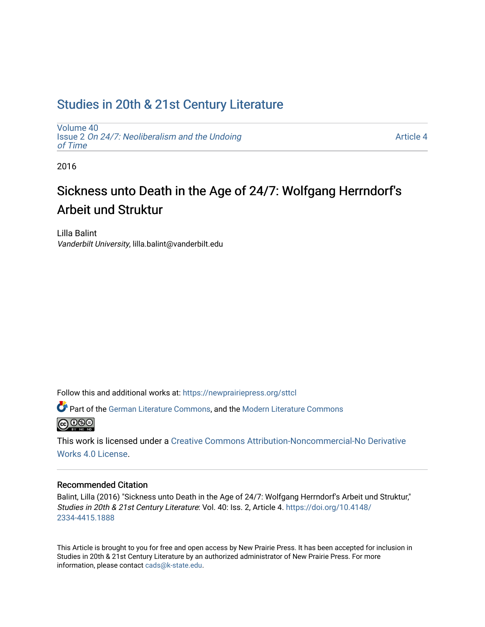## [Studies in 20th & 21st Century Literature](https://newprairiepress.org/sttcl)

[Volume 40](https://newprairiepress.org/sttcl/vol40) Issue 2 [On 24/7: Neoliberalism and the Undoing](https://newprairiepress.org/sttcl/vol40/iss2)  [of Time](https://newprairiepress.org/sttcl/vol40/iss2) 

[Article 4](https://newprairiepress.org/sttcl/vol40/iss2/4) 

2016

# Sickness unto Death in the Age of 24/7: Wolfgang Herrndorf's Arbeit und Struktur

Lilla Balint Vanderbilt University, lilla.balint@vanderbilt.edu

Follow this and additional works at: [https://newprairiepress.org/sttcl](https://newprairiepress.org/sttcl?utm_source=newprairiepress.org%2Fsttcl%2Fvol40%2Fiss2%2F4&utm_medium=PDF&utm_campaign=PDFCoverPages) 

Part of the [German Literature Commons,](http://network.bepress.com/hgg/discipline/469?utm_source=newprairiepress.org%2Fsttcl%2Fvol40%2Fiss2%2F4&utm_medium=PDF&utm_campaign=PDFCoverPages) and the [Modern Literature Commons](http://network.bepress.com/hgg/discipline/1050?utm_source=newprairiepress.org%2Fsttcl%2Fvol40%2Fiss2%2F4&utm_medium=PDF&utm_campaign=PDFCoverPages)  **@000** 

This work is licensed under a [Creative Commons Attribution-Noncommercial-No Derivative](https://creativecommons.org/licenses/by-nc-nd/4.0/)  [Works 4.0 License](https://creativecommons.org/licenses/by-nc-nd/4.0/).

#### Recommended Citation

Balint, Lilla (2016) "Sickness unto Death in the Age of 24/7: Wolfgang Herrndorf's Arbeit und Struktur," Studies in 20th & 21st Century Literature: Vol. 40: Iss. 2, Article 4. [https://doi.org/10.4148/](https://doi.org/10.4148/2334-4415.1888) [2334-4415.1888](https://doi.org/10.4148/2334-4415.1888) 

This Article is brought to you for free and open access by New Prairie Press. It has been accepted for inclusion in Studies in 20th & 21st Century Literature by an authorized administrator of New Prairie Press. For more information, please contact [cads@k-state.edu](mailto:cads@k-state.edu).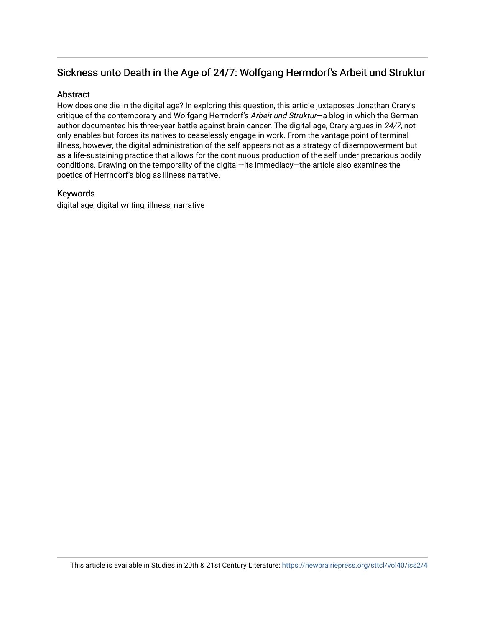### Sickness unto Death in the Age of 24/7: Wolfgang Herrndorf's Arbeit und Struktur

#### Abstract

How does one die in the digital age? In exploring this question, this article juxtaposes Jonathan Crary's critique of the contemporary and Wolfgang Herrndorf's Arbeit und Struktur-a blog in which the German author documented his three-year battle against brain cancer. The digital age, Crary argues in 24/7, not only enables but forces its natives to ceaselessly engage in work. From the vantage point of terminal illness, however, the digital administration of the self appears not as a strategy of disempowerment but as a life-sustaining practice that allows for the continuous production of the self under precarious bodily conditions. Drawing on the temporality of the digital—its immediacy—the article also examines the poetics of Herrndorf's blog as illness narrative.

#### Keywords

digital age, digital writing, illness, narrative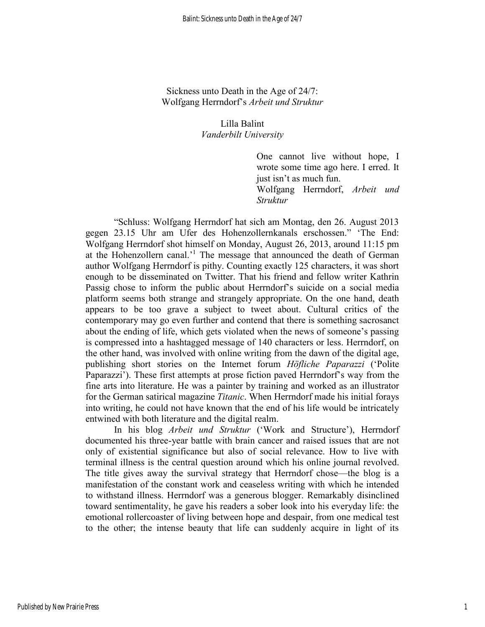Sickness unto Death in the Age of 24/7: Wolfgang Herrndorf's *Arbeit und Struktur*

#### Lilla Balint *Vanderbilt University*

One cannot live without hope, I wrote some time ago here. I erred. It just isn't as much fun. Wolfgang Herrndorf, *Arbeit und Struktur*

"Schluss: Wolfgang Herrndorf hat sich am Montag, den 26. August 2013 gegen 23.15 Uhr am Ufer des Hohenzollernkanals erschossen." 'The End: Wolfgang Herrndorf shot himself on Monday, August 26, 2013, around 11:15 pm at the Hohenzollern canal.' <sup>1</sup> The message that announced the death of German author Wolfgang Herrndorf is pithy. Counting exactly 125 characters, it was short enough to be disseminated on Twitter. That his friend and fellow writer Kathrin Passig chose to inform the public about Herrndorf's suicide on a social media platform seems both strange and strangely appropriate. On the one hand, death appears to be too grave a subject to tweet about. Cultural critics of the contemporary may go even further and contend that there is something sacrosanct about the ending of life, which gets violated when the news of someone's passing is compressed into a hashtagged message of 140 characters or less. Herrndorf, on the other hand, was involved with online writing from the dawn of the digital age, publishing short stories on the Internet forum *Höfliche Paparazzi* ('Polite Paparazzi'). These first attempts at prose fiction paved Herrndorf's way from the fine arts into literature. He was a painter by training and worked as an illustrator for the German satirical magazine *Titanic*. When Herrndorf made his initial forays into writing, he could not have known that the end of his life would be intricately entwined with both literature and the digital realm.

In his blog *Arbeit und Struktur* ('Work and Structure'), Herrndorf documented his three-year battle with brain cancer and raised issues that are not only of existential significance but also of social relevance. How to live with terminal illness is the central question around which his online journal revolved. The title gives away the survival strategy that Herrndorf chose—the blog is a manifestation of the constant work and ceaseless writing with which he intended to withstand illness. Herrndorf was a generous blogger. Remarkably disinclined toward sentimentality, he gave his readers a sober look into his everyday life: the emotional rollercoaster of living between hope and despair, from one medical test to the other; the intense beauty that life can suddenly acquire in light of its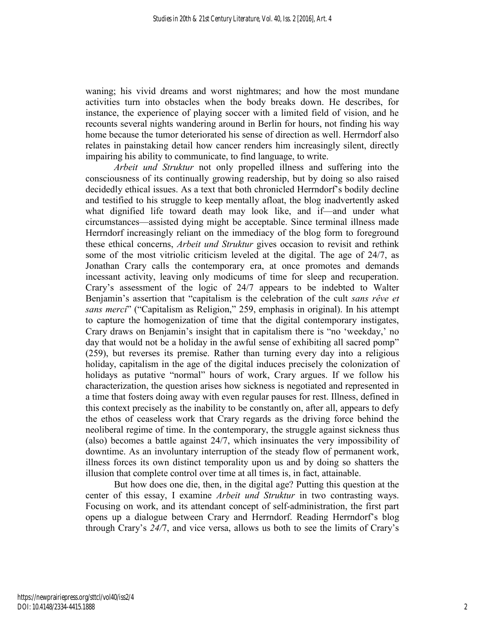waning; his vivid dreams and worst nightmares; and how the most mundane activities turn into obstacles when the body breaks down. He describes, for instance, the experience of playing soccer with a limited field of vision, and he recounts several nights wandering around in Berlin for hours, not finding his way home because the tumor deteriorated his sense of direction as well. Herrndorf also relates in painstaking detail how cancer renders him increasingly silent, directly impairing his ability to communicate, to find language, to write.

*Arbeit und Struktur* not only propelled illness and suffering into the consciousness of its continually growing readership, but by doing so also raised decidedly ethical issues. As a text that both chronicled Herrndorf's bodily decline and testified to his struggle to keep mentally afloat, the blog inadvertently asked what dignified life toward death may look like, and if—and under what circumstances—assisted dying might be acceptable. Since terminal illness made Herrndorf increasingly reliant on the immediacy of the blog form to foreground these ethical concerns, *Arbeit und Struktur* gives occasion to revisit and rethink some of the most vitriolic criticism leveled at the digital. The age of 24/7, as Jonathan Crary calls the contemporary era, at once promotes and demands incessant activity, leaving only modicums of time for sleep and recuperation. Crary's assessment of the logic of 24/7 appears to be indebted to Walter Benjamin's assertion that "capitalism is the celebration of the cult *sans rêve et sans merci*" ("Capitalism as Religion," 259, emphasis in original). In his attempt to capture the homogenization of time that the digital contemporary instigates, Crary draws on Benjamin's insight that in capitalism there is "no 'weekday,' no day that would not be a holiday in the awful sense of exhibiting all sacred pomp" (259), but reverses its premise. Rather than turning every day into a religious holiday, capitalism in the age of the digital induces precisely the colonization of holidays as putative "normal" hours of work, Crary argues. If we follow his characterization, the question arises how sickness is negotiated and represented in a time that fosters doing away with even regular pauses for rest. Illness, defined in this context precisely as the inability to be constantly on, after all, appears to defy the ethos of ceaseless work that Crary regards as the driving force behind the neoliberal regime of time. In the contemporary, the struggle against sickness thus (also) becomes a battle against 24/7, which insinuates the very impossibility of downtime. As an involuntary interruption of the steady flow of permanent work, illness forces its own distinct temporality upon us and by doing so shatters the illusion that complete control over time at all times is, in fact, attainable.

But how does one die, then, in the digital age? Putting this question at the center of this essay, I examine *Arbeit und Struktur* in two contrasting ways. Focusing on work, and its attendant concept of self-administration, the first part opens up a dialogue between Crary and Herrndorf. Reading Herrndorf's blog through Crary's *24/*7, and vice versa, allows us both to see the limits of Crary's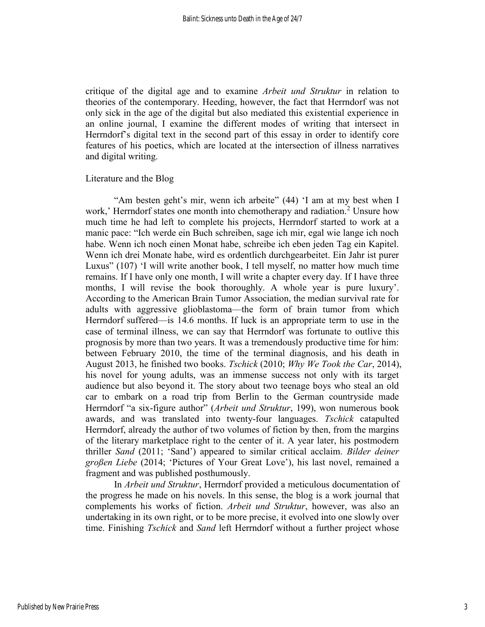critique of the digital age and to examine *Arbeit und Struktur* in relation to theories of the contemporary. Heeding, however, the fact that Herrndorf was not only sick in the age of the digital but also mediated this existential experience in an online journal, I examine the different modes of writing that intersect in Herrndorf's digital text in the second part of this essay in order to identify core features of his poetics, which are located at the intersection of illness narratives and digital writing.

#### Literature and the Blog

"Am besten geht's mir, wenn ich arbeite" (44) 'I am at my best when I work,' Herrndorf states one month into chemotherapy and radiation.<sup>2</sup> Unsure how much time he had left to complete his projects, Herrndorf started to work at a manic pace: "Ich werde ein Buch schreiben, sage ich mir, egal wie lange ich noch habe. Wenn ich noch einen Monat habe, schreibe ich eben jeden Tag ein Kapitel. Wenn ich drei Monate habe, wird es ordentlich durchgearbeitet. Ein Jahr ist purer Luxus" (107) 'I will write another book, I tell myself, no matter how much time remains. If I have only one month, I will write a chapter every day. If I have three months, I will revise the book thoroughly. A whole year is pure luxury'. According to the American Brain Tumor Association, the median survival rate for adults with aggressive glioblastoma—the form of brain tumor from which Herrndorf suffered—is 14.6 months. If luck is an appropriate term to use in the case of terminal illness, we can say that Herrndorf was fortunate to outlive this prognosis by more than two years. It was a tremendously productive time for him: between February 2010, the time of the terminal diagnosis, and his death in August 2013, he finished two books. *Tschick* (2010; *Why We Took the Car*, 2014), his novel for young adults, was an immense success not only with its target audience but also beyond it. The story about two teenage boys who steal an old car to embark on a road trip from Berlin to the German countryside made Herrndorf "a six-figure author" (*Arbeit und Struktur*, 199), won numerous book awards, and was translated into twenty-four languages. *Tschick* catapulted Herrndorf, already the author of two volumes of fiction by then, from the margins of the literary marketplace right to the center of it. A year later, his postmodern thriller *Sand* (2011; 'Sand') appeared to similar critical acclaim. *Bilder deiner großen Liebe* (2014; 'Pictures of Your Great Love'), his last novel, remained a fragment and was published posthumously.

In *Arbeit und Struktur*, Herrndorf provided a meticulous documentation of the progress he made on his novels. In this sense, the blog is a work journal that complements his works of fiction. *Arbeit und Struktur*, however, was also an undertaking in its own right, or to be more precise, it evolved into one slowly over time. Finishing *Tschick* and *Sand* left Herrndorf without a further project whose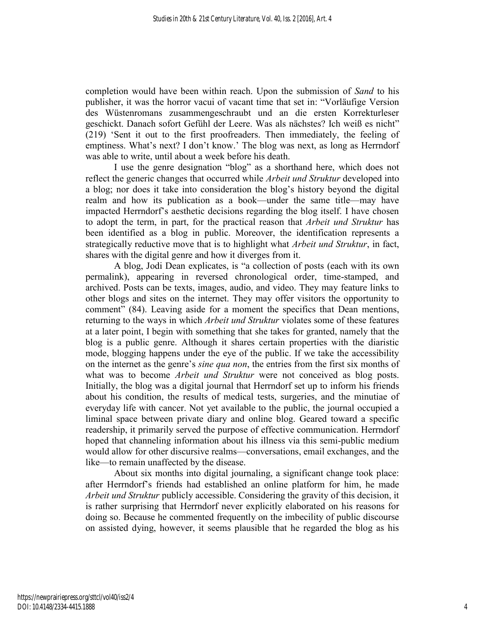completion would have been within reach. Upon the submission of *Sand* to his publisher, it was the horror vacui of vacant time that set in: "Vorläufige Version des Wüstenromans zusammengeschraubt und an die ersten Korrekturleser geschickt. Danach sofort Gefühl der Leere. Was als nächstes? Ich weiß es nicht" (219) 'Sent it out to the first proofreaders. Then immediately, the feeling of emptiness. What's next? I don't know.' The blog was next, as long as Herrndorf was able to write, until about a week before his death.

I use the genre designation "blog" as a shorthand here, which does not reflect the generic changes that occurred while *Arbeit und Struktur* developed into a blog; nor does it take into consideration the blog's history beyond the digital realm and how its publication as a book—under the same title—may have impacted Herrndorf's aesthetic decisions regarding the blog itself. I have chosen to adopt the term, in part, for the practical reason that *Arbeit und Struktur* has been identified as a blog in public. Moreover, the identification represents a strategically reductive move that is to highlight what *Arbeit und Struktur*, in fact, shares with the digital genre and how it diverges from it.

A blog, Jodi Dean explicates, is "a collection of posts (each with its own permalink), appearing in reversed chronological order, time-stamped, and archived. Posts can be texts, images, audio, and video. They may feature links to other blogs and sites on the internet. They may offer visitors the opportunity to comment" (84). Leaving aside for a moment the specifics that Dean mentions, returning to the ways in which *Arbeit und Struktur* violates some of these features at a later point, I begin with something that she takes for granted, namely that the blog is a public genre. Although it shares certain properties with the diaristic mode, blogging happens under the eye of the public. If we take the accessibility on the internet as the genre's *sine qua non*, the entries from the first six months of what was to become *Arbeit und Struktur* were not conceived as blog posts. Initially, the blog was a digital journal that Herrndorf set up to inform his friends about his condition, the results of medical tests, surgeries, and the minutiae of everyday life with cancer. Not yet available to the public, the journal occupied a liminal space between private diary and online blog. Geared toward a specific readership, it primarily served the purpose of effective communication. Herrndorf hoped that channeling information about his illness via this semi-public medium would allow for other discursive realms—conversations, email exchanges, and the like—to remain unaffected by the disease.

About six months into digital journaling, a significant change took place: after Herrndorf's friends had established an online platform for him, he made *Arbeit und Struktur* publicly accessible. Considering the gravity of this decision, it is rather surprising that Herrndorf never explicitly elaborated on his reasons for doing so. Because he commented frequently on the imbecility of public discourse on assisted dying, however, it seems plausible that he regarded the blog as his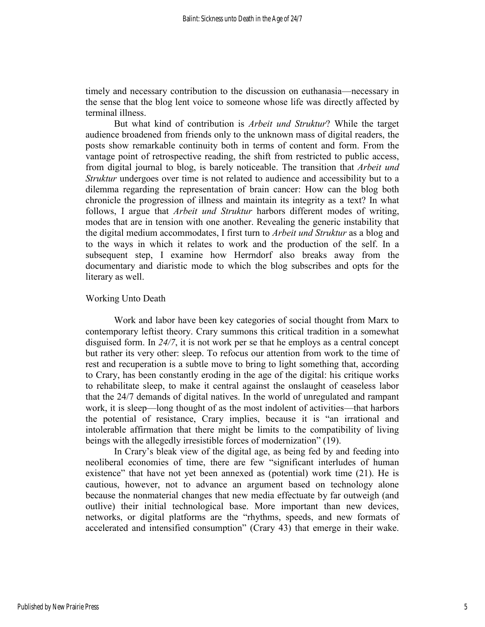timely and necessary contribution to the discussion on euthanasia—necessary in the sense that the blog lent voice to someone whose life was directly affected by terminal illness.

But what kind of contribution is *Arbeit und Struktur*? While the target audience broadened from friends only to the unknown mass of digital readers, the posts show remarkable continuity both in terms of content and form. From the vantage point of retrospective reading, the shift from restricted to public access, from digital journal to blog, is barely noticeable. The transition that *Arbeit und Struktur* undergoes over time is not related to audience and accessibility but to a dilemma regarding the representation of brain cancer: How can the blog both chronicle the progression of illness and maintain its integrity as a text? In what follows, I argue that *Arbeit und Struktur* harbors different modes of writing, modes that are in tension with one another. Revealing the generic instability that the digital medium accommodates, I first turn to *Arbeit und Struktur* as a blog and to the ways in which it relates to work and the production of the self. In a subsequent step, I examine how Herrndorf also breaks away from the documentary and diaristic mode to which the blog subscribes and opts for the literary as well.

#### Working Unto Death

Work and labor have been key categories of social thought from Marx to contemporary leftist theory. Crary summons this critical tradition in a somewhat disguised form. In *24/7*, it is not work per se that he employs as a central concept but rather its very other: sleep. To refocus our attention from work to the time of rest and recuperation is a subtle move to bring to light something that, according to Crary, has been constantly eroding in the age of the digital: his critique works to rehabilitate sleep, to make it central against the onslaught of ceaseless labor that the 24/7 demands of digital natives. In the world of unregulated and rampant work, it is sleep—long thought of as the most indolent of activities—that harbors the potential of resistance, Crary implies, because it is "an irrational and intolerable affirmation that there might be limits to the compatibility of living beings with the allegedly irresistible forces of modernization" (19).

In Crary's bleak view of the digital age, as being fed by and feeding into neoliberal economies of time, there are few "significant interludes of human existence" that have not yet been annexed as (potential) work time (21). He is cautious, however, not to advance an argument based on technology alone because the nonmaterial changes that new media effectuate by far outweigh (and outlive) their initial technological base. More important than new devices, networks, or digital platforms are the "rhythms, speeds, and new formats of accelerated and intensified consumption" (Crary 43) that emerge in their wake.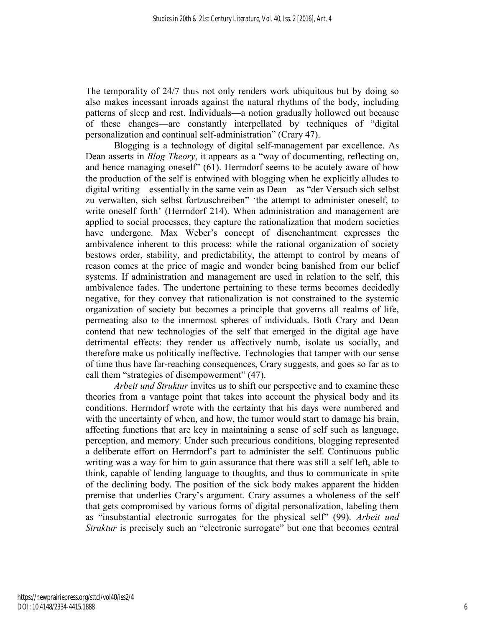The temporality of 24/7 thus not only renders work ubiquitous but by doing so also makes incessant inroads against the natural rhythms of the body, including patterns of sleep and rest. Individuals—a notion gradually hollowed out because of these changes—are constantly interpellated by techniques of "digital personalization and continual self-administration" (Crary 47).

Blogging is a technology of digital self-management par excellence. As Dean asserts in *Blog Theory*, it appears as a "way of documenting, reflecting on, and hence managing oneself" (61). Herrndorf seems to be acutely aware of how the production of the self is entwined with blogging when he explicitly alludes to digital writing—essentially in the same vein as Dean—as "der Versuch sich selbst zu verwalten, sich selbst fortzuschreiben" 'the attempt to administer oneself, to write oneself forth' (Herrndorf 214). When administration and management are applied to social processes, they capture the rationalization that modern societies have undergone. Max Weber's concept of disenchantment expresses the ambivalence inherent to this process: while the rational organization of society bestows order, stability, and predictability, the attempt to control by means of reason comes at the price of magic and wonder being banished from our belief systems. If administration and management are used in relation to the self, this ambivalence fades. The undertone pertaining to these terms becomes decidedly negative, for they convey that rationalization is not constrained to the systemic organization of society but becomes a principle that governs all realms of life, permeating also to the innermost spheres of individuals. Both Crary and Dean contend that new technologies of the self that emerged in the digital age have detrimental effects: they render us affectively numb, isolate us socially, and therefore make us politically ineffective. Technologies that tamper with our sense of time thus have far-reaching consequences, Crary suggests, and goes so far as to call them "strategies of disempowerment" (47).

*Arbeit und Struktur* invites us to shift our perspective and to examine these theories from a vantage point that takes into account the physical body and its conditions. Herrndorf wrote with the certainty that his days were numbered and with the uncertainty of when, and how, the tumor would start to damage his brain, affecting functions that are key in maintaining a sense of self such as language, perception, and memory. Under such precarious conditions, blogging represented a deliberate effort on Herrndorf's part to administer the self. Continuous public writing was a way for him to gain assurance that there was still a self left, able to think, capable of lending language to thoughts, and thus to communicate in spite of the declining body. The position of the sick body makes apparent the hidden premise that underlies Crary's argument. Crary assumes a wholeness of the self that gets compromised by various forms of digital personalization, labeling them as "insubstantial electronic surrogates for the physical self" (99). *Arbeit und Struktur* is precisely such an "electronic surrogate" but one that becomes central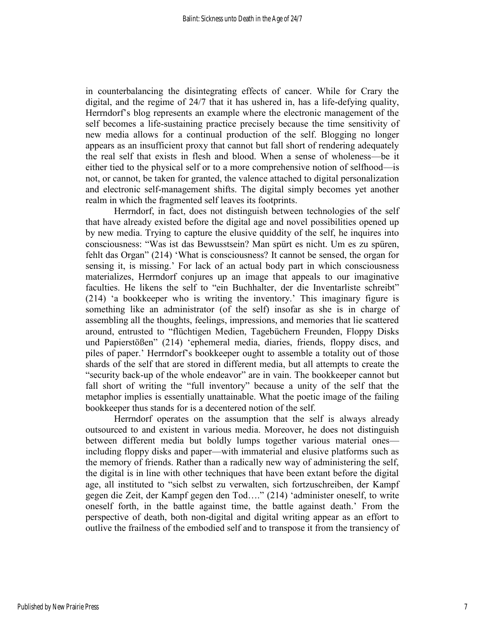in counterbalancing the disintegrating effects of cancer. While for Crary the digital, and the regime of 24/7 that it has ushered in, has a life-defying quality, Herrndorf's blog represents an example where the electronic management of the self becomes a life-sustaining practice precisely because the time sensitivity of new media allows for a continual production of the self. Blogging no longer appears as an insufficient proxy that cannot but fall short of rendering adequately the real self that exists in flesh and blood. When a sense of wholeness—be it either tied to the physical self or to a more comprehensive notion of selfhood—is not, or cannot, be taken for granted, the valence attached to digital personalization and electronic self-management shifts. The digital simply becomes yet another realm in which the fragmented self leaves its footprints.

Herrndorf, in fact, does not distinguish between technologies of the self that have already existed before the digital age and novel possibilities opened up by new media. Trying to capture the elusive quiddity of the self, he inquires into consciousness: "Was ist das Bewusstsein? Man spürt es nicht. Um es zu spüren, fehlt das Organ" (214) 'What is consciousness? It cannot be sensed, the organ for sensing it, is missing.' For lack of an actual body part in which consciousness materializes, Herrndorf conjures up an image that appeals to our imaginative faculties. He likens the self to "ein Buchhalter, der die Inventarliste schreibt" (214) 'a bookkeeper who is writing the inventory.' This imaginary figure is something like an administrator (of the self) insofar as she is in charge of assembling all the thoughts, feelings, impressions, and memories that lie scattered around, entrusted to "flüchtigen Medien, Tagebüchern Freunden, Floppy Disks und Papierstößen" (214) 'ephemeral media, diaries, friends, floppy discs, and piles of paper.' Herrndorf's bookkeeper ought to assemble a totality out of those shards of the self that are stored in different media, but all attempts to create the "security back-up of the whole endeavor" are in vain. The bookkeeper cannot but fall short of writing the "full inventory" because a unity of the self that the metaphor implies is essentially unattainable. What the poetic image of the failing bookkeeper thus stands for is a decentered notion of the self.

Herrndorf operates on the assumption that the self is always already outsourced to and existent in various media. Moreover, he does not distinguish between different media but boldly lumps together various material ones including floppy disks and paper—with immaterial and elusive platforms such as the memory of friends. Rather than a radically new way of administering the self, the digital is in line with other techniques that have been extant before the digital age, all instituted to "sich selbst zu verwalten, sich fortzuschreiben, der Kampf gegen die Zeit, der Kampf gegen den Tod…." (214) 'administer oneself, to write oneself forth, in the battle against time, the battle against death.' From the perspective of death, both non-digital and digital writing appear as an effort to outlive the frailness of the embodied self and to transpose it from the transiency of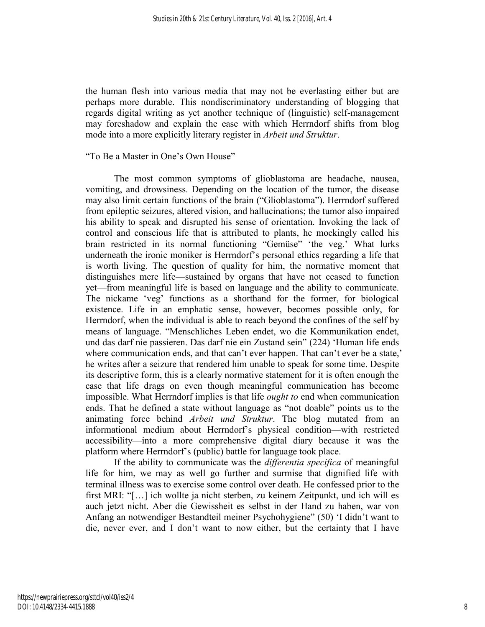the human flesh into various media that may not be everlasting either but are perhaps more durable. This nondiscriminatory understanding of blogging that regards digital writing as yet another technique of (linguistic) self-management may foreshadow and explain the ease with which Herrndorf shifts from blog mode into a more explicitly literary register in *Arbeit und Struktur*.

#### "To Be a Master in One's Own House"

The most common symptoms of glioblastoma are headache, nausea, vomiting, and drowsiness. Depending on the location of the tumor, the disease may also limit certain functions of the brain ("Glioblastoma"). Herrndorf suffered from epileptic seizures, altered vision, and hallucinations; the tumor also impaired his ability to speak and disrupted his sense of orientation. Invoking the lack of control and conscious life that is attributed to plants, he mockingly called his brain restricted in its normal functioning "Gemüse" 'the veg.' What lurks underneath the ironic moniker is Herrndorf's personal ethics regarding a life that is worth living. The question of quality for him, the normative moment that distinguishes mere life—sustained by organs that have not ceased to function yet—from meaningful life is based on language and the ability to communicate. The nickame 'veg' functions as a shorthand for the former, for biological existence. Life in an emphatic sense, however, becomes possible only, for Herrndorf, when the individual is able to reach beyond the confines of the self by means of language. "Menschliches Leben endet, wo die Kommunikation endet, und das darf nie passieren. Das darf nie ein Zustand sein" (224) 'Human life ends where communication ends, and that can't ever happen. That can't ever be a state,' he writes after a seizure that rendered him unable to speak for some time. Despite its descriptive form, this is a clearly normative statement for it is often enough the case that life drags on even though meaningful communication has become impossible. What Herrndorf implies is that life *ought to* end when communication ends. That he defined a state without language as "not doable" points us to the animating force behind *Arbeit und Struktur*. The blog mutated from an informational medium about Herrndorf's physical condition—with restricted accessibility—into a more comprehensive digital diary because it was the platform where Herrndorf's (public) battle for language took place.

If the ability to communicate was the *differentia specifica* of meaningful life for him, we may as well go further and surmise that dignified life with terminal illness was to exercise some control over death. He confessed prior to the first MRI: "[…] ich wollte ja nicht sterben, zu keinem Zeitpunkt, und ich will es auch jetzt nicht. Aber die Gewissheit es selbst in der Hand zu haben, war von Anfang an notwendiger Bestandteil meiner Psychohygiene" (50) 'I didn't want to die, never ever, and I don't want to now either, but the certainty that I have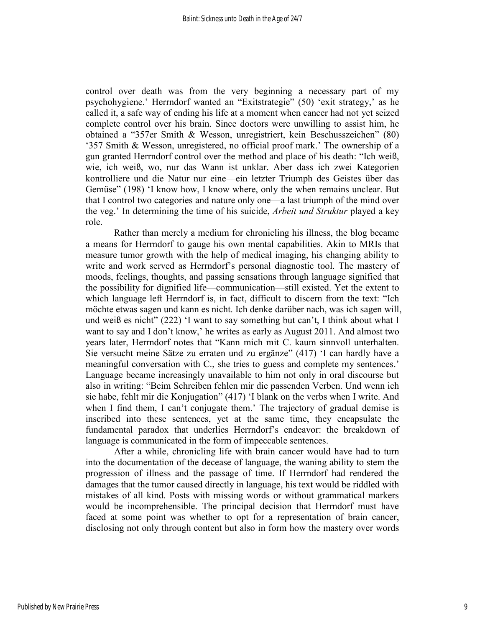control over death was from the very beginning a necessary part of my psychohygiene.' Herrndorf wanted an "Exitstrategie" (50) 'exit strategy,' as he called it, a safe way of ending his life at a moment when cancer had not yet seized complete control over his brain. Since doctors were unwilling to assist him, he obtained a "357er Smith & Wesson, unregistriert, kein Beschusszeichen" (80) '357 Smith & Wesson, unregistered, no official proof mark.' The ownership of a gun granted Herrndorf control over the method and place of his death: "Ich weiß, wie, ich weiß, wo, nur das Wann ist unklar. Aber dass ich zwei Kategorien kontrolliere und die Natur nur eine—ein letzter Triumph des Geistes über das Gemüse" (198) 'I know how, I know where, only the when remains unclear. But that I control two categories and nature only one—a last triumph of the mind over the veg.' In determining the time of his suicide, *Arbeit und Struktur* played a key role.

Rather than merely a medium for chronicling his illness, the blog became a means for Herrndorf to gauge his own mental capabilities. Akin to MRIs that measure tumor growth with the help of medical imaging, his changing ability to write and work served as Herrndorf's personal diagnostic tool. The mastery of moods, feelings, thoughts, and passing sensations through language signified that the possibility for dignified life—communication—still existed. Yet the extent to which language left Herrndorf is, in fact, difficult to discern from the text: "Ich möchte etwas sagen und kann es nicht. Ich denke darüber nach, was ich sagen will, und weiß es nicht" (222) 'I want to say something but can't, I think about what I want to say and I don't know,' he writes as early as August 2011. And almost two years later, Herrndorf notes that "Kann mich mit C. kaum sinnvoll unterhalten. Sie versucht meine Sätze zu erraten und zu ergänze" (417) 'I can hardly have a meaningful conversation with C., she tries to guess and complete my sentences.' Language became increasingly unavailable to him not only in oral discourse but also in writing: "Beim Schreiben fehlen mir die passenden Verben. Und wenn ich sie habe, fehlt mir die Konjugation" (417) 'I blank on the verbs when I write. And when I find them, I can't conjugate them.' The trajectory of gradual demise is inscribed into these sentences, yet at the same time, they encapsulate the fundamental paradox that underlies Herrndorf's endeavor: the breakdown of language is communicated in the form of impeccable sentences.

After a while, chronicling life with brain cancer would have had to turn into the documentation of the decease of language, the waning ability to stem the progression of illness and the passage of time. If Herrndorf had rendered the damages that the tumor caused directly in language, his text would be riddled with mistakes of all kind. Posts with missing words or without grammatical markers would be incomprehensible. The principal decision that Herrndorf must have faced at some point was whether to opt for a representation of brain cancer, disclosing not only through content but also in form how the mastery over words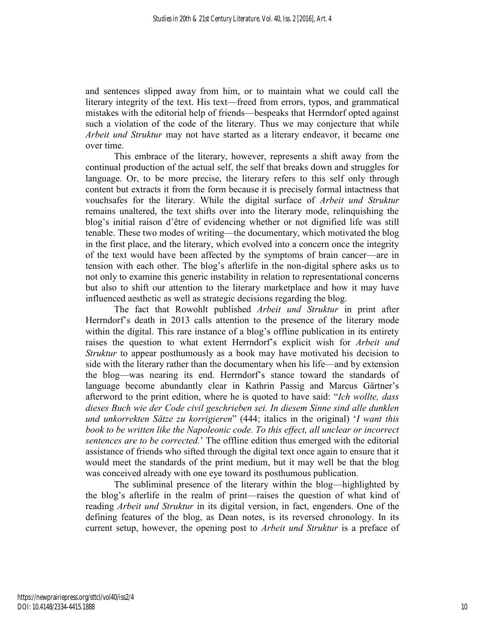and sentences slipped away from him, or to maintain what we could call the literary integrity of the text. His text—freed from errors, typos, and grammatical mistakes with the editorial help of friends—bespeaks that Herrndorf opted against such a violation of the code of the literary. Thus we may conjecture that while *Arbeit und Struktur* may not have started as a literary endeavor, it became one over time.

This embrace of the literary, however, represents a shift away from the continual production of the actual self, the self that breaks down and struggles for language. Or, to be more precise, the literary refers to this self only through content but extracts it from the form because it is precisely formal intactness that vouchsafes for the literary. While the digital surface of *Arbeit und Struktur* remains unaltered, the text shifts over into the literary mode, relinquishing the blog's initial raison d'être of evidencing whether or not dignified life was still tenable. These two modes of writing—the documentary, which motivated the blog in the first place, and the literary, which evolved into a concern once the integrity of the text would have been affected by the symptoms of brain cancer—are in tension with each other. The blog's afterlife in the non-digital sphere asks us to not only to examine this generic instability in relation to representational concerns but also to shift our attention to the literary marketplace and how it may have influenced aesthetic as well as strategic decisions regarding the blog.

The fact that Rowohlt published *Arbeit und Struktur* in print after Herrndorf's death in 2013 calls attention to the presence of the literary mode within the digital. This rare instance of a blog's offline publication in its entirety raises the question to what extent Herrndorf's explicit wish for *Arbeit und Struktur* to appear posthumously as a book may have motivated his decision to side with the literary rather than the documentary when his life—and by extension the blog—was nearing its end. Herrndorf's stance toward the standards of language become abundantly clear in Kathrin Passig and Marcus Gärtner's afterword to the print edition, where he is quoted to have said: "*Ich wollte, dass dieses Buch wie der Code civil geschrieben sei. In diesem Sinne sind alle dunklen und unkorrekten Sätze zu korrigieren*" (444; italics in the original) '*I want this book to be written like the Napoleonic code. To this effect, all unclear or incorrect sentences are to be corrected.*' The offline edition thus emerged with the editorial assistance of friends who sifted through the digital text once again to ensure that it would meet the standards of the print medium, but it may well be that the blog was conceived already with one eye toward its posthumous publication.

The subliminal presence of the literary within the blog—highlighted by the blog's afterlife in the realm of print—raises the question of what kind of reading *Arbeit und Struktur* in its digital version, in fact, engenders. One of the defining features of the blog, as Dean notes, is its reversed chronology. In its current setup, however, the opening post to *Arbeit und Struktur* is a preface of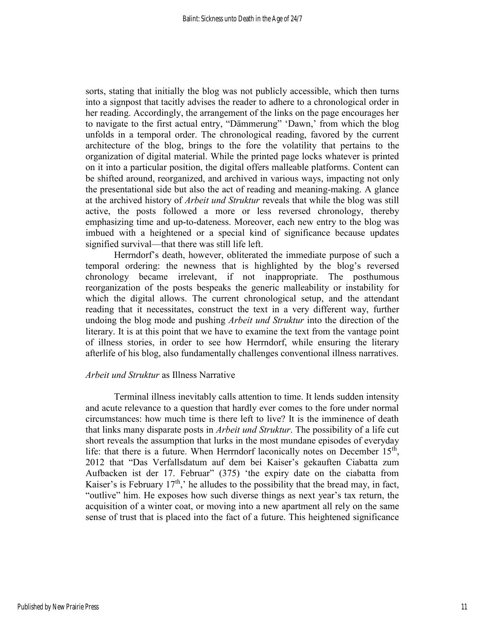sorts, stating that initially the blog was not publicly accessible, which then turns into a signpost that tacitly advises the reader to adhere to a chronological order in her reading. Accordingly, the arrangement of the links on the page encourages her to navigate to the first actual entry, "Dämmerung" 'Dawn,' from which the blog unfolds in a temporal order. The chronological reading, favored by the current architecture of the blog, brings to the fore the volatility that pertains to the organization of digital material. While the printed page locks whatever is printed on it into a particular position, the digital offers malleable platforms. Content can be shifted around, reorganized, and archived in various ways, impacting not only the presentational side but also the act of reading and meaning-making. A glance at the archived history of *Arbeit und Struktur* reveals that while the blog was still active, the posts followed a more or less reversed chronology, thereby emphasizing time and up-to-dateness. Moreover, each new entry to the blog was imbued with a heightened or a special kind of significance because updates signified survival—that there was still life left.

Herrndorf's death, however, obliterated the immediate purpose of such a temporal ordering: the newness that is highlighted by the blog's reversed chronology became irrelevant, if not inappropriate. The posthumous reorganization of the posts bespeaks the generic malleability or instability for which the digital allows. The current chronological setup, and the attendant reading that it necessitates, construct the text in a very different way, further undoing the blog mode and pushing *Arbeit und Struktur* into the direction of the literary. It is at this point that we have to examine the text from the vantage point of illness stories, in order to see how Herrndorf, while ensuring the literary afterlife of his blog, also fundamentally challenges conventional illness narratives.

#### *Arbeit und Struktur* as Illness Narrative

Terminal illness inevitably calls attention to time. It lends sudden intensity and acute relevance to a question that hardly ever comes to the fore under normal circumstances: how much time is there left to live? It is the imminence of death that links many disparate posts in *Arbeit und Struktur*. The possibility of a life cut short reveals the assumption that lurks in the most mundane episodes of everyday life: that there is a future. When Herrndorf laconically notes on December  $15<sup>th</sup>$ , 2012 that "Das Verfallsdatum auf dem bei Kaiser's gekauften Ciabatta zum Aufbacken ist der 17. Februar" (375) 'the expiry date on the ciabatta from Kaiser's is February  $17<sup>th</sup>$ , he alludes to the possibility that the bread may, in fact, "outlive" him. He exposes how such diverse things as next year's tax return, the acquisition of a winter coat, or moving into a new apartment all rely on the same sense of trust that is placed into the fact of a future. This heightened significance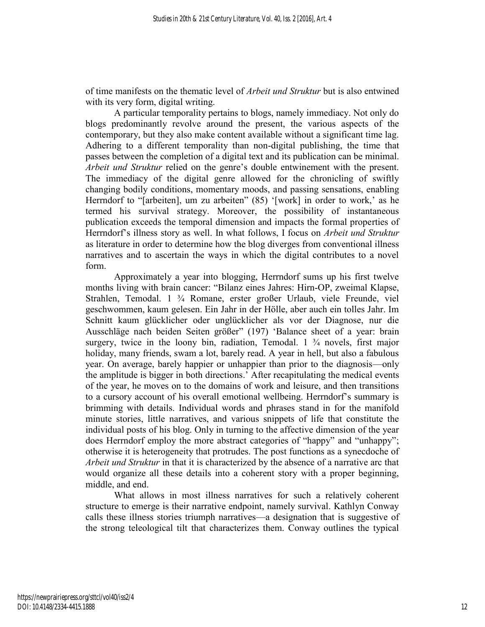of time manifests on the thematic level of *Arbeit und Struktur* but is also entwined with its very form, digital writing.

A particular temporality pertains to blogs, namely immediacy. Not only do blogs predominantly revolve around the present, the various aspects of the contemporary, but they also make content available without a significant time lag. Adhering to a different temporality than non-digital publishing, the time that passes between the completion of a digital text and its publication can be minimal. *Arbeit und Struktur* relied on the genre's double entwinement with the present. The immediacy of the digital genre allowed for the chronicling of swiftly changing bodily conditions, momentary moods, and passing sensations, enabling Herrndorf to "[arbeiten], um zu arbeiten" (85) '[work] in order to work,' as he termed his survival strategy. Moreover, the possibility of instantaneous publication exceeds the temporal dimension and impacts the formal properties of Herrndorf's illness story as well. In what follows, I focus on *Arbeit und Struktur* as literature in order to determine how the blog diverges from conventional illness narratives and to ascertain the ways in which the digital contributes to a novel form.

Approximately a year into blogging, Herrndorf sums up his first twelve months living with brain cancer: "Bilanz eines Jahres: Hirn-OP, zweimal Klapse, Strahlen, Temodal. 1 ¾ Romane, erster großer Urlaub, viele Freunde, viel geschwommen, kaum gelesen. Ein Jahr in der Hölle, aber auch ein tolles Jahr. Im Schnitt kaum glücklicher oder unglücklicher als vor der Diagnose, nur die Ausschläge nach beiden Seiten größer" (197) 'Balance sheet of a year: brain surgery, twice in the loony bin, radiation, Temodal.  $1 \frac{3}{4}$  novels, first major holiday, many friends, swam a lot, barely read. A year in hell, but also a fabulous year. On average, barely happier or unhappier than prior to the diagnosis—only the amplitude is bigger in both directions.' After recapitulating the medical events of the year, he moves on to the domains of work and leisure, and then transitions to a cursory account of his overall emotional wellbeing. Herrndorf's summary is brimming with details. Individual words and phrases stand in for the manifold minute stories, little narratives, and various snippets of life that constitute the individual posts of his blog. Only in turning to the affective dimension of the year does Herrndorf employ the more abstract categories of "happy" and "unhappy"; otherwise it is heterogeneity that protrudes. The post functions as a synecdoche of *Arbeit und Struktur* in that it is characterized by the absence of a narrative arc that would organize all these details into a coherent story with a proper beginning, middle, and end.

What allows in most illness narratives for such a relatively coherent structure to emerge is their narrative endpoint, namely survival. Kathlyn Conway calls these illness stories triumph narratives—a designation that is suggestive of the strong teleological tilt that characterizes them. Conway outlines the typical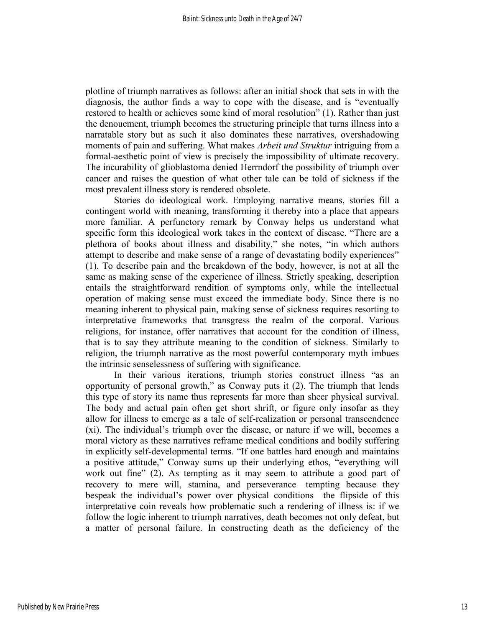plotline of triumph narratives as follows: after an initial shock that sets in with the diagnosis, the author finds a way to cope with the disease, and is "eventually restored to health or achieves some kind of moral resolution" (1). Rather than just the denouement, triumph becomes the structuring principle that turns illness into a narratable story but as such it also dominates these narratives, overshadowing moments of pain and suffering. What makes *Arbeit und Struktur* intriguing from a formal-aesthetic point of view is precisely the impossibility of ultimate recovery. The incurability of glioblastoma denied Herrndorf the possibility of triumph over cancer and raises the question of what other tale can be told of sickness if the most prevalent illness story is rendered obsolete.

Stories do ideological work. Employing narrative means, stories fill a contingent world with meaning, transforming it thereby into a place that appears more familiar. A perfunctory remark by Conway helps us understand what specific form this ideological work takes in the context of disease. "There are a plethora of books about illness and disability," she notes, "in which authors attempt to describe and make sense of a range of devastating bodily experiences" (1). To describe pain and the breakdown of the body, however, is not at all the same as making sense of the experience of illness. Strictly speaking, description entails the straightforward rendition of symptoms only, while the intellectual operation of making sense must exceed the immediate body. Since there is no meaning inherent to physical pain, making sense of sickness requires resorting to interpretative frameworks that transgress the realm of the corporal. Various religions, for instance, offer narratives that account for the condition of illness, that is to say they attribute meaning to the condition of sickness. Similarly to religion, the triumph narrative as the most powerful contemporary myth imbues the intrinsic senselessness of suffering with significance.

In their various iterations, triumph stories construct illness "as an opportunity of personal growth," as Conway puts it (2). The triumph that lends this type of story its name thus represents far more than sheer physical survival. The body and actual pain often get short shrift, or figure only insofar as they allow for illness to emerge as a tale of self-realization or personal transcendence (xi). The individual's triumph over the disease, or nature if we will, becomes a moral victory as these narratives reframe medical conditions and bodily suffering in explicitly self-developmental terms. "If one battles hard enough and maintains a positive attitude," Conway sums up their underlying ethos, "everything will work out fine" (2). As tempting as it may seem to attribute a good part of recovery to mere will, stamina, and perseverance—tempting because they bespeak the individual's power over physical conditions—the flipside of this interpretative coin reveals how problematic such a rendering of illness is: if we follow the logic inherent to triumph narratives, death becomes not only defeat, but a matter of personal failure. In constructing death as the deficiency of the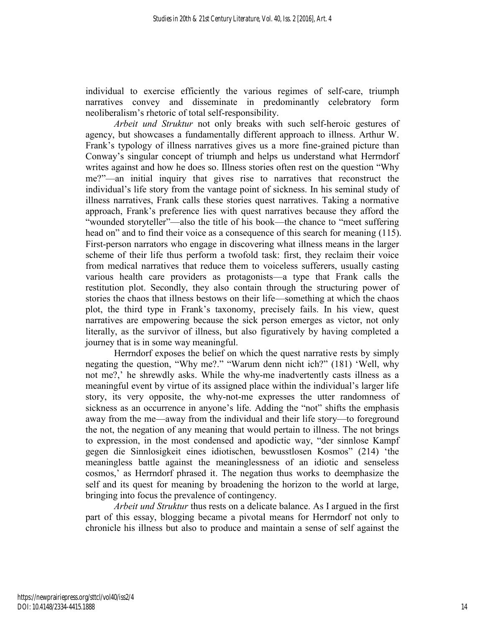individual to exercise efficiently the various regimes of self-care, triumph narratives convey and disseminate in predominantly celebratory form neoliberalism's rhetoric of total self-responsibility.

*Arbeit und Struktur* not only breaks with such self-heroic gestures of agency, but showcases a fundamentally different approach to illness. Arthur W. Frank's typology of illness narratives gives us a more fine-grained picture than Conway's singular concept of triumph and helps us understand what Herrndorf writes against and how he does so. Illness stories often rest on the question "Why me?"—an initial inquiry that gives rise to narratives that reconstruct the individual's life story from the vantage point of sickness. In his seminal study of illness narratives, Frank calls these stories quest narratives. Taking a normative approach, Frank's preference lies with quest narratives because they afford the "wounded storyteller"—also the title of his book—the chance to "meet suffering head on" and to find their voice as a consequence of this search for meaning (115). First-person narrators who engage in discovering what illness means in the larger scheme of their life thus perform a twofold task: first, they reclaim their voice from medical narratives that reduce them to voiceless sufferers, usually casting various health care providers as protagonists—a type that Frank calls the restitution plot. Secondly, they also contain through the structuring power of stories the chaos that illness bestows on their life—something at which the chaos plot, the third type in Frank's taxonomy, precisely fails. In his view, quest narratives are empowering because the sick person emerges as victor, not only literally, as the survivor of illness, but also figuratively by having completed a journey that is in some way meaningful.

Herrndorf exposes the belief on which the quest narrative rests by simply negating the question, "Why me?." "Warum denn nicht ich?" (181) 'Well, why not me?,' he shrewdly asks. While the why-me inadvertently casts illness as a meaningful event by virtue of its assigned place within the individual's larger life story, its very opposite, the why-not-me expresses the utter randomness of sickness as an occurrence in anyone's life. Adding the "not" shifts the emphasis away from the me—away from the individual and their life story—to foreground the not, the negation of any meaning that would pertain to illness. The not brings to expression, in the most condensed and apodictic way, "der sinnlose Kampf gegen die Sinnlosigkeit eines idiotischen, bewusstlosen Kosmos" (214) 'the meaningless battle against the meaninglessness of an idiotic and senseless cosmos,' as Herrndorf phrased it. The negation thus works to deemphasize the self and its quest for meaning by broadening the horizon to the world at large, bringing into focus the prevalence of contingency.

*Arbeit und Struktur* thus rests on a delicate balance. As I argued in the first part of this essay, blogging became a pivotal means for Herrndorf not only to chronicle his illness but also to produce and maintain a sense of self against the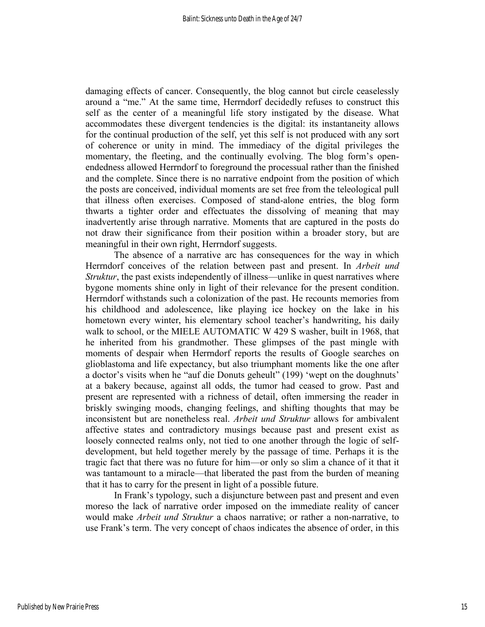damaging effects of cancer. Consequently, the blog cannot but circle ceaselessly around a "me." At the same time, Herrndorf decidedly refuses to construct this self as the center of a meaningful life story instigated by the disease. What accommodates these divergent tendencies is the digital: its instantaneity allows for the continual production of the self, yet this self is not produced with any sort of coherence or unity in mind. The immediacy of the digital privileges the momentary, the fleeting, and the continually evolving. The blog form's openendedness allowed Herrndorf to foreground the processual rather than the finished and the complete. Since there is no narrative endpoint from the position of which the posts are conceived, individual moments are set free from the teleological pull that illness often exercises. Composed of stand-alone entries, the blog form thwarts a tighter order and effectuates the dissolving of meaning that may inadvertently arise through narrative. Moments that are captured in the posts do not draw their significance from their position within a broader story, but are meaningful in their own right, Herrndorf suggests.

The absence of a narrative arc has consequences for the way in which Herrndorf conceives of the relation between past and present. In *Arbeit und Struktur*, the past exists independently of illness—unlike in quest narratives where bygone moments shine only in light of their relevance for the present condition. Herrndorf withstands such a colonization of the past. He recounts memories from his childhood and adolescence, like playing ice hockey on the lake in his hometown every winter, his elementary school teacher's handwriting, his daily walk to school, or the MIELE AUTOMATIC W 429 S washer, built in 1968, that he inherited from his grandmother. These glimpses of the past mingle with moments of despair when Herrndorf reports the results of Google searches on glioblastoma and life expectancy, but also triumphant moments like the one after a doctor's visits when he "auf die Donuts geheult" (199) 'wept on the doughnuts' at a bakery because, against all odds, the tumor had ceased to grow. Past and present are represented with a richness of detail, often immersing the reader in briskly swinging moods, changing feelings, and shifting thoughts that may be inconsistent but are nonetheless real. *Arbeit und Struktur* allows for ambivalent affective states and contradictory musings because past and present exist as loosely connected realms only, not tied to one another through the logic of selfdevelopment, but held together merely by the passage of time. Perhaps it is the tragic fact that there was no future for him—or only so slim a chance of it that it was tantamount to a miracle—that liberated the past from the burden of meaning that it has to carry for the present in light of a possible future.

In Frank's typology, such a disjuncture between past and present and even moreso the lack of narrative order imposed on the immediate reality of cancer would make *Arbeit und Struktur* a chaos narrative; or rather a non-narrative, to use Frank's term. The very concept of chaos indicates the absence of order, in this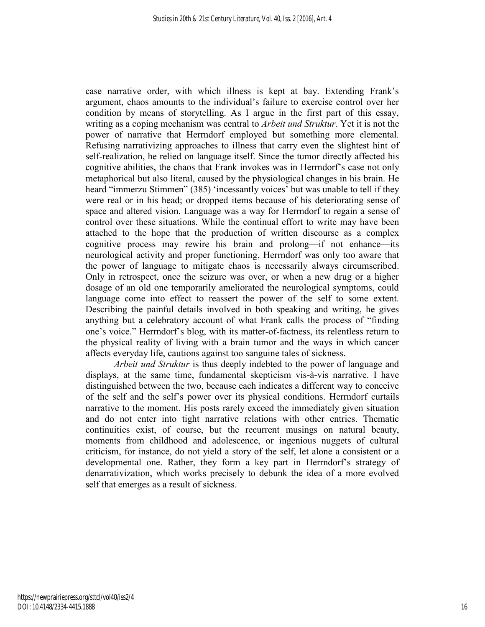case narrative order, with which illness is kept at bay. Extending Frank's argument, chaos amounts to the individual's failure to exercise control over her condition by means of storytelling. As I argue in the first part of this essay, writing as a coping mechanism was central to *Arbeit und Struktur*. Yet it is not the power of narrative that Herrndorf employed but something more elemental. Refusing narrativizing approaches to illness that carry even the slightest hint of self-realization, he relied on language itself. Since the tumor directly affected his cognitive abilities, the chaos that Frank invokes was in Herrndorf's case not only metaphorical but also literal, caused by the physiological changes in his brain. He heard "immerzu Stimmen" (385) 'incessantly voices' but was unable to tell if they were real or in his head; or dropped items because of his deteriorating sense of space and altered vision. Language was a way for Herrndorf to regain a sense of control over these situations. While the continual effort to write may have been attached to the hope that the production of written discourse as a complex cognitive process may rewire his brain and prolong—if not enhance—its neurological activity and proper functioning, Herrndorf was only too aware that the power of language to mitigate chaos is necessarily always circumscribed. Only in retrospect, once the seizure was over, or when a new drug or a higher dosage of an old one temporarily ameliorated the neurological symptoms, could language come into effect to reassert the power of the self to some extent. Describing the painful details involved in both speaking and writing, he gives anything but a celebratory account of what Frank calls the process of "finding one's voice." Herrndorf's blog, with its matter-of-factness, its relentless return to the physical reality of living with a brain tumor and the ways in which cancer affects everyday life, cautions against too sanguine tales of sickness.

*Arbeit und Struktur* is thus deeply indebted to the power of language and displays, at the same time, fundamental skepticism vis-à-vis narrative. I have distinguished between the two, because each indicates a different way to conceive of the self and the self's power over its physical conditions. Herrndorf curtails narrative to the moment. His posts rarely exceed the immediately given situation and do not enter into tight narrative relations with other entries. Thematic continuities exist, of course, but the recurrent musings on natural beauty, moments from childhood and adolescence, or ingenious nuggets of cultural criticism, for instance, do not yield a story of the self, let alone a consistent or a developmental one. Rather, they form a key part in Herrndorf's strategy of denarrativization, which works precisely to debunk the idea of a more evolved self that emerges as a result of sickness.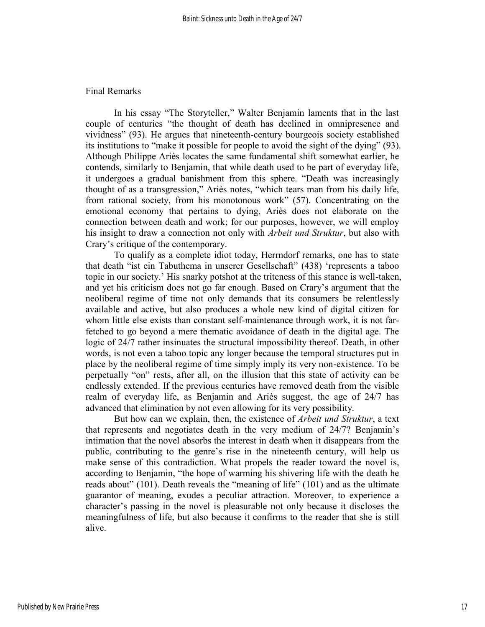#### Final Remarks

In his essay "The Storyteller," Walter Benjamin laments that in the last couple of centuries "the thought of death has declined in omnipresence and vividness" (93). He argues that nineteenth-century bourgeois society established its institutions to "make it possible for people to avoid the sight of the dying" (93). Although Philippe Ariès locates the same fundamental shift somewhat earlier, he contends, similarly to Benjamin, that while death used to be part of everyday life, it undergoes a gradual banishment from this sphere. "Death was increasingly thought of as a transgression," Ariès notes, "which tears man from his daily life, from rational society, from his monotonous work" (57). Concentrating on the emotional economy that pertains to dying, Ariès does not elaborate on the connection between death and work; for our purposes, however, we will employ his insight to draw a connection not only with *Arbeit und Struktur*, but also with Crary's critique of the contemporary.

To qualify as a complete idiot today, Herrndorf remarks, one has to state that death "ist ein Tabuthema in unserer Gesellschaft" (438) 'represents a taboo topic in our society.' His snarky potshot at the triteness of this stance is well-taken, and yet his criticism does not go far enough. Based on Crary's argument that the neoliberal regime of time not only demands that its consumers be relentlessly available and active, but also produces a whole new kind of digital citizen for whom little else exists than constant self-maintenance through work, it is not farfetched to go beyond a mere thematic avoidance of death in the digital age. The logic of 24/7 rather insinuates the structural impossibility thereof. Death, in other words, is not even a taboo topic any longer because the temporal structures put in place by the neoliberal regime of time simply imply its very non-existence. To be perpetually "on" rests, after all, on the illusion that this state of activity can be endlessly extended. If the previous centuries have removed death from the visible realm of everyday life, as Benjamin and Ariès suggest, the age of 24/7 has advanced that elimination by not even allowing for its very possibility.

But how can we explain, then, the existence of *Arbeit und Struktur*, a text that represents and negotiates death in the very medium of 24/7? Benjamin's intimation that the novel absorbs the interest in death when it disappears from the public, contributing to the genre's rise in the nineteenth century, will help us make sense of this contradiction. What propels the reader toward the novel is, according to Benjamin, "the hope of warming his shivering life with the death he reads about" (101). Death reveals the "meaning of life" (101) and as the ultimate guarantor of meaning, exudes a peculiar attraction. Moreover, to experience a character's passing in the novel is pleasurable not only because it discloses the meaningfulness of life, but also because it confirms to the reader that she is still alive.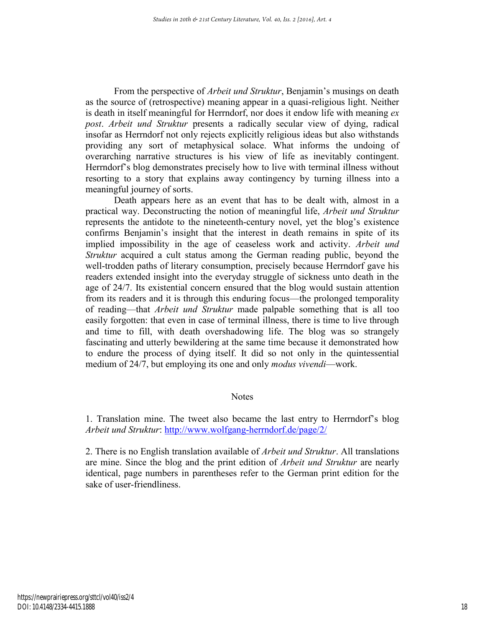From the perspective of *Arbeit und Struktur*, Benjamin's musings on death as the source of (retrospective) meaning appear in a quasi-religious light. Neither is death in itself meaningful for Herrndorf, nor does it endow life with meaning *ex post*. *Arbeit und Struktur* presents a radically secular view of dying, radical insofar as Herrndorf not only rejects explicitly religious ideas but also withstands providing any sort of metaphysical solace. What informs the undoing of overarching narrative structures is his view of life as inevitably contingent. Herrndorf's blog demonstrates precisely how to live with terminal illness without resorting to a story that explains away contingency by turning illness into a meaningful journey of sorts.

Death appears here as an event that has to be dealt with, almost in a practical way. Deconstructing the notion of meaningful life, *Arbeit und Struktur* represents the antidote to the nineteenth-century novel, yet the blog's existence confirms Benjamin's insight that the interest in death remains in spite of its implied impossibility in the age of ceaseless work and activity. *Arbeit und Struktur* acquired a cult status among the German reading public, beyond the well-trodden paths of literary consumption, precisely because Herrndorf gave his readers extended insight into the everyday struggle of sickness unto death in the age of 24/7. Its existential concern ensured that the blog would sustain attention from its readers and it is through this enduring focus—the prolonged temporality of reading—that *Arbeit und Struktur* made palpable something that is all too easily forgotten: that even in case of terminal illness, there is time to live through and time to fill, with death overshadowing life. The blog was so strangely fascinating and utterly bewildering at the same time because it demonstrated how to endure the process of dying itself. It did so not only in the quintessential medium of 24/7, but employing its one and only *modus vivendi*—work.

#### **Notes**

1. Translation mine. The tweet also became the last entry to Herrndorf's blog *Arbeit und Struktur*:<http://www.wolfgang-herrndorf.de/page/2/>

2. There is no English translation available of *Arbeit und Struktur*. All translations are mine. Since the blog and the print edition of *Arbeit und Struktur* are nearly identical, page numbers in parentheses refer to the German print edition for the sake of user-friendliness.